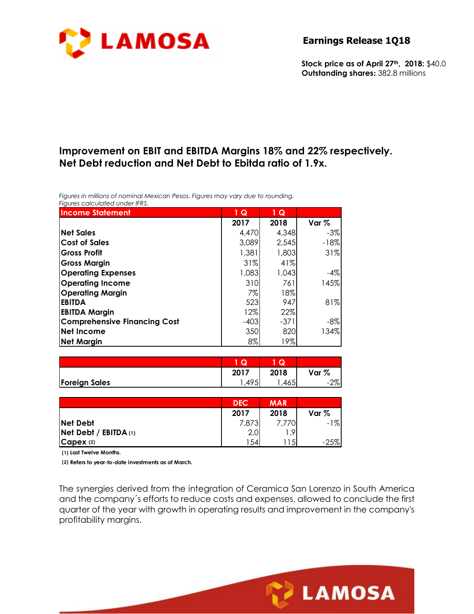

**Stock price as of April 27th, 2018:** \$40.0 **Outstanding shares:** 382.8 millions

## **Improvement on EBIT and EBITDA Margins 18% and 22% respectively. Net Debt reduction and Net Debt to Ebitda ratio of 1.9x.**

*Figures in millions of nominal Mexican Pesos. Figures may vary due to rounding. Figures calculated under IFRS.* 

| <b>Income Statement</b>             | 1 Q    | 1 Q    |         |
|-------------------------------------|--------|--------|---------|
|                                     | 2017   | 2018   | Var $%$ |
| <b>Net Sales</b>                    | 4,470  | 4,348  | -3%     |
| <b>Cost of Sales</b>                | 3,089  | 2,545  | $-18%$  |
| <b>Gross Profit</b>                 | 1,381  | 1,803  | 31%     |
| <b>Gross Margin</b>                 | 31%    | 41%    |         |
| <b>Operating Expenses</b>           | 1,083  | 1,043  | $-4%$   |
| <b>Operating Income</b>             | 310    | 761    | 145%    |
| <b>Operating Margin</b>             | 7%     | 18%    |         |
| <b>EBITDA</b>                       | 523    | 947    | 81%     |
| <b>EBITDA Margin</b>                | 12%    | 22%    |         |
| <b>Comprehensive Financing Cost</b> | $-403$ | $-371$ | $-8\%$  |
| <b>Net Income</b>                   | 350    | 820    | 134%    |
| <b>Net Margin</b>                   | $8\%$  | 19%    |         |

|                      | u                   | <b>IQ.</b> |            |
|----------------------|---------------------|------------|------------|
|                      | 2017                | 2018       | Var %      |
| <b>Foreign Sales</b> | $\Delta$ 9 $\Gamma$ | .4651      | הסר<br>/ol |

|                              | <b>DEC</b> | <b>MAR</b> |         |
|------------------------------|------------|------------|---------|
|                              | 2017       | 2018       | Var $%$ |
| <b>Net Debt</b>              | 7,873      |            | $-1\%$  |
| <b>Net Debt / EBITDA (1)</b> | 2.0        | 9          |         |
| Capex (2)                    | 154        | 15         | $-25%$  |

**(1) Last Twelve Months.**

**(2) Refers to year-to-date investments as of March.**

The synergies derived from the integration of Ceramica San Lorenzo in South America and the company´s efforts to reduce costs and expenses, allowed to conclude the first quarter of the year with growth in operating results and improvement in the company's profitability margins.

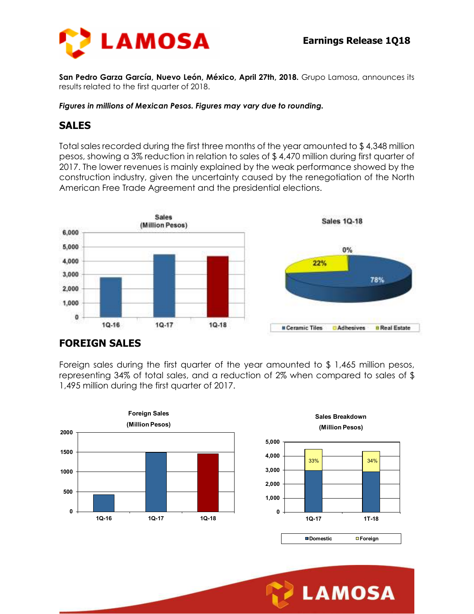

**San Pedro Garza García, Nuevo León, México, April 27th, 2018.** Grupo Lamosa, announces its results related to the first quarter of 2018.

#### *Figures in millions of Mexican Pesos. Figures may vary due to rounding.*

#### **SALES**

Total sales recorded during the first three months of the year amounted to \$ 4,348 million pesos, showing a 3% reduction in relation to sales of \$ 4,470 million during first quarter of 2017. The lower revenues is mainly explained by the weak performance showed by the construction industry, given the uncertainty caused by the renegotiation of the North American Free Trade Agreement and the presidential elections.



## **FOREIGN SALES**

Foreign sales during the first quarter of the year amounted to \$ 1,465 million pesos, representing 34% of total sales, and a reduction of 2% when compared to sales of \$ 1,495 million during the first quarter of 2017.



**0 1,000 2,000 3,000 4,000 5,000 1Q-17 1T-18 Sales Breakdown (Million Pesos) Domestic Foreign** 33% 34%

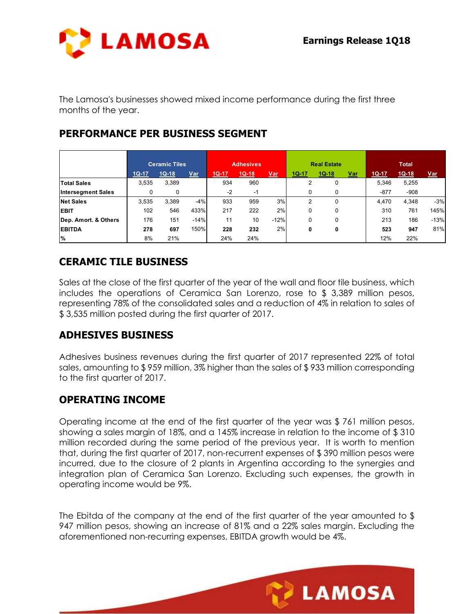

The Lamosa's businesses showed mixed income performance during the first three months of the year.

## **PERFORMANCE PER BUSINESS SEGMENT**

|                           | <b>Ceramic Tiles</b> |         | <b>Adhesives</b> |         | <b>Real Estate</b> |            | <b>Total</b>   |         |            |         |         |            |
|---------------------------|----------------------|---------|------------------|---------|--------------------|------------|----------------|---------|------------|---------|---------|------------|
|                           | $1Q-17$              | $1Q-18$ | <b>Var</b>       | $1Q-17$ | $1Q-18$            | <u>Var</u> | $1Q-17$        | $1Q-18$ | <u>Var</u> | $1Q-17$ | $1Q-18$ | <u>Var</u> |
| <b>Total Sales</b>        | 3,535                | 3,389   |                  | 934     | 960                |            | $\overline{2}$ | 0       |            | 5.346   | 5,255   |            |
| <b>Intersegment Sales</b> |                      | 0       |                  | $-2$    | $-1$               |            | 0              | 0       |            | $-877$  | $-908$  |            |
| <b>Net Sales</b>          | 3,535                | 3.389   | $-4%$            | 933     | 959                | 3%         | 2              | 0       |            | 4.470   | 4.348   | $-3%$      |
| <b>EBIT</b>               | 102                  | 546     | 433%             | 217     | 222                | 2%         | 0              | 0       |            | 310     | 761     | 145%       |
| Dep. Amort. & Others      | 176                  | 151     | $-14%$           | 11      | 10                 | $-12%$     | 0              | 0       |            | 213     | 186     | $-13%$     |
| <b>EBITDA</b>             | 278                  | 697     | 150%             | 228     | 232                | 2%         | 0              | 0       |            | 523     | 947     | 81%        |
| $\%$                      | 8%                   | 21%     |                  | 24%     | 24%                |            |                |         |            | 12%     | 22%     |            |

## **CERAMIC TILE BUSINESS**

Sales at the close of the first quarter of the year of the wall and floor tile business, which includes the operations of Ceramica San Lorenzo, rose to \$ 3,389 million pesos, representing 78% of the consolidated sales and a reduction of 4% in relation to sales of \$ 3,535 million posted during the first quarter of 2017.

## **ADHESIVES BUSINESS**

Adhesives business revenues during the first quarter of 2017 represented 22% of total sales, amounting to \$ 959 million, 3% higher than the sales of \$ 933 million corresponding to the first quarter of 2017.

## **OPERATING INCOME**

Operating income at the end of the first quarter of the year was \$ 761 million pesos, showing a sales margin of 18%, and a 145% increase in relation to the income of \$ 310 million recorded during the same period of the previous year. It is worth to mention that, during the first quarter of 2017, non-recurrent expenses of \$ 390 million pesos were incurred, due to the closure of 2 plants in Argentina according to the synergies and integration plan of Ceramica San Lorenzo. Excluding such expenses, the growth in operating income would be 9%.

The Ebitda of the company at the end of the first quarter of the year amounted to \$ 947 million pesos, showing an increase of 81% and a 22% sales margin. Excluding the aforementioned non-recurring expenses, EBITDA growth would be 4%.

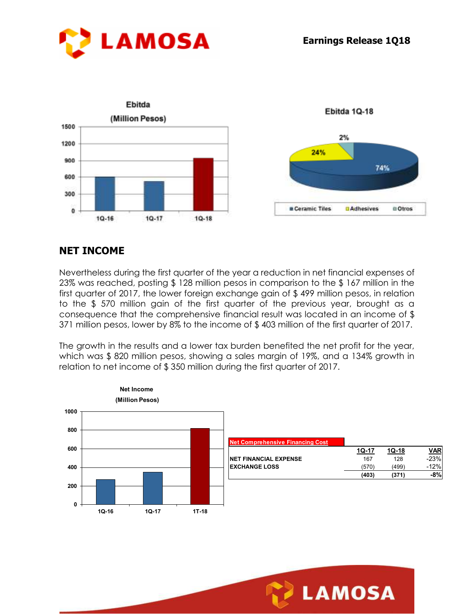

# **NET INCOME**

Nevertheless during the first quarter of the year a reduction in net financial expenses of 23% was reached, posting \$ 128 million pesos in comparison to the \$ 167 million in the first quarter of 2017, the lower foreign exchange gain of \$ 499 million pesos, in relation to the \$ 570 million gain of the first quarter of the previous year, brought as a consequence that the comprehensive financial result was located in an income of \$ 371 million pesos, lower by 8% to the income of \$ 403 million of the first quarter of 2017.

The growth in the results and a lower tax burden benefited the net profit for the year, which was \$820 million pesos, showing a sales margin of 19%, and a 134% growth in relation to net income of \$ 350 million during the first quarter of 2017.



| <b>Net Comprehensive Financing Cost</b> |         |         |            |
|-----------------------------------------|---------|---------|------------|
|                                         | $10-17$ | $10-18$ | <u>VAR</u> |
| <b>NET FINANCIAL EXPENSE</b>            | 167     | 128     | $-23%$     |
| <b>EXCHANGE LOSS</b>                    | (570)   | (499)   | $-12%$     |
|                                         | (403)   | (371)   |            |